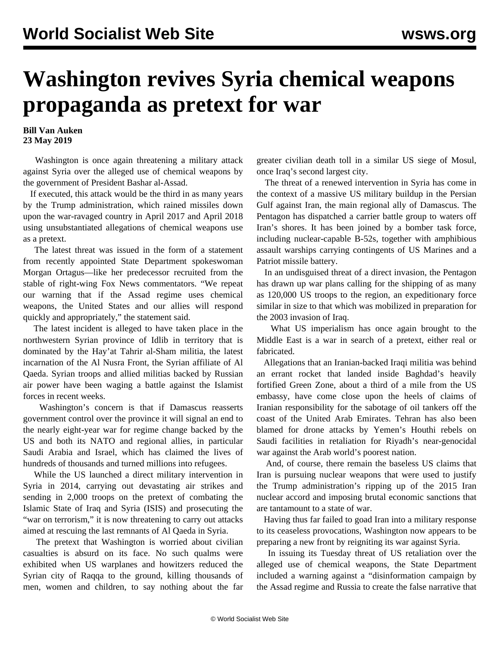## **Washington revives Syria chemical weapons propaganda as pretext for war**

## **Bill Van Auken 23 May 2019**

 Washington is once again threatening a military attack against Syria over the alleged use of chemical weapons by the government of President Bashar al-Assad.

 If executed, this attack would be the third in as many years by the Trump administration, which rained missiles down upon the war-ravaged country in April 2017 and April 2018 using unsubstantiated allegations of chemical weapons use as a pretext.

 The latest threat was issued in the form of a statement from recently appointed State Department spokeswoman Morgan Ortagus—like her predecessor recruited from the stable of right-wing Fox News commentators. "We repeat our warning that if the Assad regime uses chemical weapons, the United States and our allies will respond quickly and appropriately," the statement said.

 The latest incident is alleged to have taken place in the northwestern Syrian province of Idlib in territory that is dominated by the Hay'at Tahrir al-Sham militia, the latest incarnation of the Al Nusra Front, the Syrian affiliate of Al Qaeda. Syrian troops and allied militias backed by Russian air power have been waging a battle against the Islamist forces in recent weeks.

 Washington's concern is that if Damascus reasserts government control over the province it will signal an end to the nearly eight-year war for regime change backed by the US and both its NATO and regional allies, in particular Saudi Arabia and Israel, which has claimed the lives of hundreds of thousands and turned millions into refugees.

 While the US launched a direct military intervention in Syria in 2014, carrying out devastating air strikes and sending in 2,000 troops on the pretext of combating the Islamic State of Iraq and Syria (ISIS) and prosecuting the "war on terrorism," it is now threatening to carry out attacks aimed at rescuing the last remnants of Al Qaeda in Syria.

 The pretext that Washington is worried about civilian casualties is absurd on its face. No such qualms were exhibited when US warplanes and howitzers reduced the Syrian city of Raqqa to the ground, killing thousands of men, women and children, to say nothing about the far greater civilian death toll in a similar US siege of Mosul, once Iraq's second largest city.

 The threat of a renewed intervention in Syria has come in the context of a massive US military buildup in the Persian Gulf against Iran, the main regional ally of Damascus. The Pentagon has dispatched a carrier battle group to waters off Iran's shores. It has been joined by a bomber task force, including nuclear-capable B-52s, together with amphibious assault warships carrying contingents of US Marines and a Patriot missile battery.

 In an undisguised threat of a direct invasion, the Pentagon has drawn up war plans calling for the shipping of as many as 120,000 US troops to the region, an expeditionary force similar in size to that which was mobilized in preparation for the 2003 invasion of Iraq.

 What US imperialism has once again brought to the Middle East is a war in search of a pretext, either real or fabricated.

 Allegations that an Iranian-backed Iraqi militia was behind an errant rocket that landed inside Baghdad's heavily fortified Green Zone, about a third of a mile from the US embassy, have come close upon the heels of claims of Iranian responsibility for the sabotage of oil tankers off the coast of the United Arab Emirates. Tehran has also been blamed for drone attacks by Yemen's Houthi rebels on Saudi facilities in retaliation for Riyadh's near-genocidal war against the Arab world's poorest nation.

 And, of course, there remain the baseless US claims that Iran is pursuing nuclear weapons that were used to justify the Trump administration's ripping up of the 2015 Iran nuclear accord and imposing brutal economic sanctions that are tantamount to a state of war.

 Having thus far failed to goad Iran into a military response to its ceaseless provocations, Washington now appears to be preparing a new front by reigniting its war against Syria.

 In issuing its Tuesday threat of US retaliation over the alleged use of chemical weapons, the State Department included a warning against a "disinformation campaign by the Assad regime and Russia to create the false narrative that